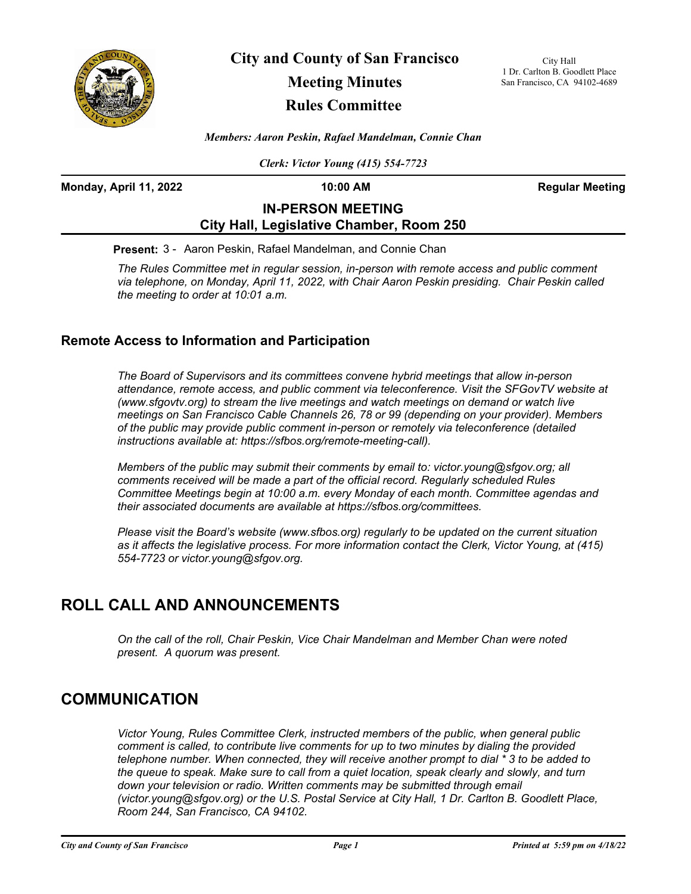

**City and County of San Francisco Meeting Minutes Rules Committee**

City Hall 1 Dr. Carlton B. Goodlett Place San Francisco, CA 94102-4689

*Members: Aaron Peskin, Rafael Mandelman, Connie Chan*

*Clerk: Victor Young (415) 554-7723*

**Monday, April 11, 2022 10:00 AM Regular Meeting**

## **IN-PERSON MEETING City Hall, Legislative Chamber, Room 250**

**Present:** 3 - Aaron Peskin, Rafael Mandelman, and Connie Chan

*The Rules Committee met in regular session, in-person with remote access and public comment via telephone, on Monday, April 11, 2022, with Chair Aaron Peskin presiding. Chair Peskin called the meeting to order at 10:01 a.m.*

## **Remote Access to Information and Participation**

*The Board of Supervisors and its committees convene hybrid meetings that allow in-person attendance, remote access, and public comment via teleconference. Visit the SFGovTV website at (www.sfgovtv.org) to stream the live meetings and watch meetings on demand or watch live meetings on San Francisco Cable Channels 26, 78 or 99 (depending on your provider). Members of the public may provide public comment in-person or remotely via teleconference (detailed instructions available at: https://sfbos.org/remote-meeting-call).* 

*Members of the public may submit their comments by email to: victor.young@sfgov.org; all comments received will be made a part of the official record. Regularly scheduled Rules Committee Meetings begin at 10:00 a.m. every Monday of each month. Committee agendas and their associated documents are available at https://sfbos.org/committees.*

*Please visit the Board's website (www.sfbos.org) regularly to be updated on the current situation as it affects the legislative process. For more information contact the Clerk, Victor Young, at (415) 554-7723 or victor.young@sfgov.org.*

# **ROLL CALL AND ANNOUNCEMENTS**

*On the call of the roll, Chair Peskin, Vice Chair Mandelman and Member Chan were noted present. A quorum was present.*

## **COMMUNICATION**

*Victor Young, Rules Committee Clerk, instructed members of the public, when general public comment is called, to contribute live comments for up to two minutes by dialing the provided telephone number. When connected, they will receive another prompt to dial \* 3 to be added to the queue to speak. Make sure to call from a quiet location, speak clearly and slowly, and turn*  down your television or radio. Written comments may be submitted through email *(victor.young@sfgov.org) or the U.S. Postal Service at City Hall, 1 Dr. Carlton B. Goodlett Place, Room 244, San Francisco, CA 94102.*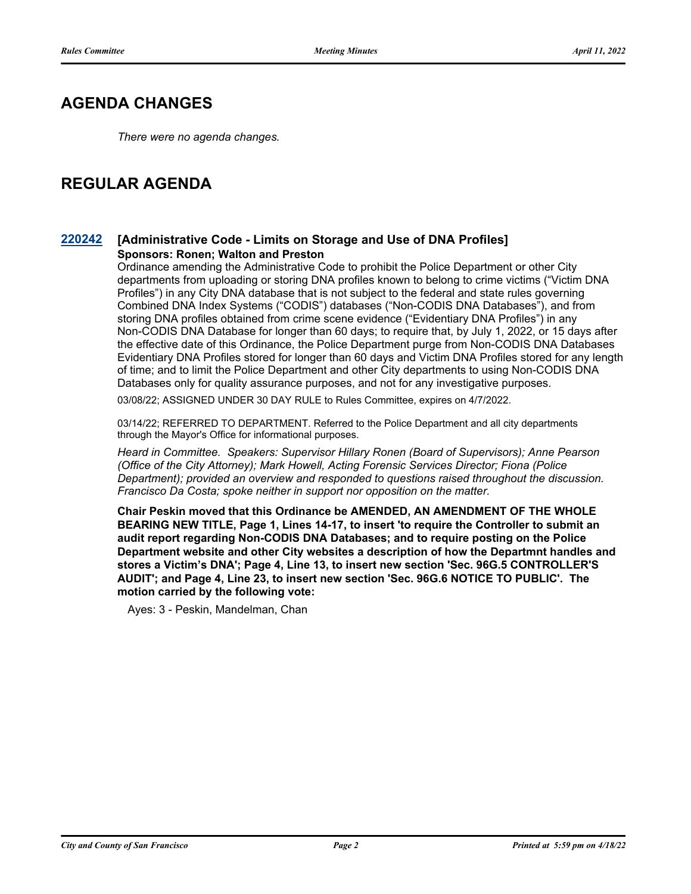# **AGENDA CHANGES**

*There were no agenda changes.*

# **REGULAR AGENDA**

## **[220242](http://sfgov.legistar.com/gateway.aspx?m=l&id=38434) [Administrative Code - Limits on Storage and Use of DNA Profiles] Sponsors: Ronen; Walton and Preston**

Ordinance amending the Administrative Code to prohibit the Police Department or other City departments from uploading or storing DNA profiles known to belong to crime victims ("Victim DNA Profiles") in any City DNA database that is not subject to the federal and state rules governing Combined DNA Index Systems ("CODIS") databases ("Non-CODIS DNA Databases"), and from storing DNA profiles obtained from crime scene evidence ("Evidentiary DNA Profiles") in any Non-CODIS DNA Database for longer than 60 days; to require that, by July 1, 2022, or 15 days after the effective date of this Ordinance, the Police Department purge from Non-CODIS DNA Databases Evidentiary DNA Profiles stored for longer than 60 days and Victim DNA Profiles stored for any length of time; and to limit the Police Department and other City departments to using Non-CODIS DNA Databases only for quality assurance purposes, and not for any investigative purposes.

03/08/22; ASSIGNED UNDER 30 DAY RULE to Rules Committee, expires on 4/7/2022.

03/14/22; REFERRED TO DEPARTMENT. Referred to the Police Department and all city departments through the Mayor's Office for informational purposes.

*Heard in Committee. Speakers: Supervisor Hillary Ronen (Board of Supervisors); Anne Pearson (Office of the City Attorney); Mark Howell, Acting Forensic Services Director; Fiona (Police Department); provided an overview and responded to questions raised throughout the discussion. Francisco Da Costa; spoke neither in support nor opposition on the matter.*

**Chair Peskin moved that this Ordinance be AMENDED, AN AMENDMENT OF THE WHOLE BEARING NEW TITLE, Page 1, Lines 14-17, to insert 'to require the Controller to submit an audit report regarding Non-CODIS DNA Databases; and to require posting on the Police Department website and other City websites a description of how the Departmnt handles and stores a Victim's DNA'; Page 4, Line 13, to insert new section 'Sec. 96G.5 CONTROLLER'S AUDIT'; and Page 4, Line 23, to insert new section 'Sec. 96G.6 NOTICE TO PUBLIC'. The motion carried by the following vote:**

Ayes: 3 - Peskin, Mandelman, Chan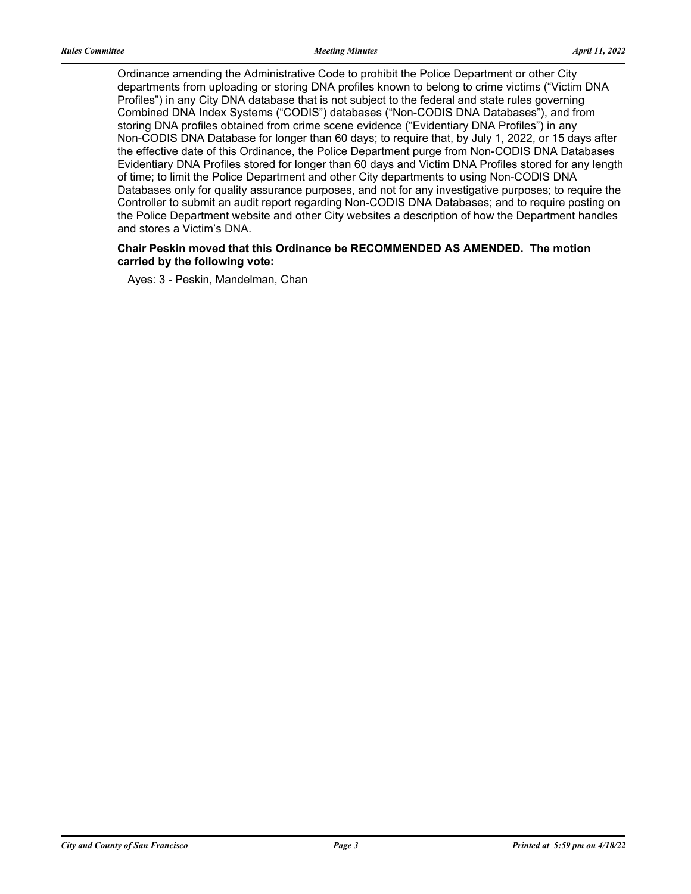Ordinance amending the Administrative Code to prohibit the Police Department or other City departments from uploading or storing DNA profiles known to belong to crime victims ("Victim DNA Profiles") in any City DNA database that is not subject to the federal and state rules governing Combined DNA Index Systems ("CODIS") databases ("Non-CODIS DNA Databases"), and from storing DNA profiles obtained from crime scene evidence ("Evidentiary DNA Profiles") in any Non-CODIS DNA Database for longer than 60 days; to require that, by July 1, 2022, or 15 days after the effective date of this Ordinance, the Police Department purge from Non-CODIS DNA Databases Evidentiary DNA Profiles stored for longer than 60 days and Victim DNA Profiles stored for any length of time; to limit the Police Department and other City departments to using Non-CODIS DNA Databases only for quality assurance purposes, and not for any investigative purposes; to require the Controller to submit an audit report regarding Non-CODIS DNA Databases; and to require posting on the Police Department website and other City websites a description of how the Department handles and stores a Victim's DNA.

### **Chair Peskin moved that this Ordinance be RECOMMENDED AS AMENDED. The motion carried by the following vote:**

Ayes: 3 - Peskin, Mandelman, Chan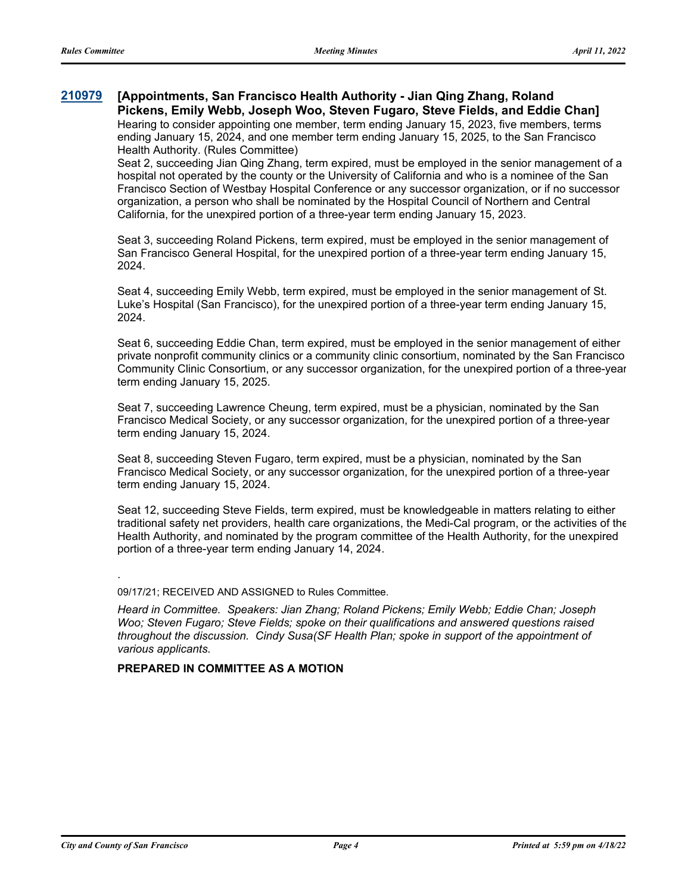#### **[Appointments, San Francisco Health Authority - Jian Qing Zhang, Roland Pickens, Emily Webb, Joseph Woo, Steven Fugaro, Steve Fields, and Eddie Chan] [210979](http://sfgov.legistar.com/gateway.aspx?m=l&id=37849)**

Hearing to consider appointing one member, term ending January 15, 2023, five members, terms ending January 15, 2024, and one member term ending January 15, 2025, to the San Francisco Health Authority. (Rules Committee)

Seat 2, succeeding Jian Qing Zhang, term expired, must be employed in the senior management of a hospital not operated by the county or the University of California and who is a nominee of the San Francisco Section of Westbay Hospital Conference or any successor organization, or if no successor organization, a person who shall be nominated by the Hospital Council of Northern and Central California, for the unexpired portion of a three-year term ending January 15, 2023.

Seat 3, succeeding Roland Pickens, term expired, must be employed in the senior management of San Francisco General Hospital, for the unexpired portion of a three-year term ending January 15, 2024.

Seat 4, succeeding Emily Webb, term expired, must be employed in the senior management of St. Luke's Hospital (San Francisco), for the unexpired portion of a three-year term ending January 15, 2024.

Seat 6, succeeding Eddie Chan, term expired, must be employed in the senior management of either private nonprofit community clinics or a community clinic consortium, nominated by the San Francisco Community Clinic Consortium, or any successor organization, for the unexpired portion of a three-year term ending January 15, 2025.

Seat 7, succeeding Lawrence Cheung, term expired, must be a physician, nominated by the San Francisco Medical Society, or any successor organization, for the unexpired portion of a three-year term ending January 15, 2024.

Seat 8, succeeding Steven Fugaro, term expired, must be a physician, nominated by the San Francisco Medical Society, or any successor organization, for the unexpired portion of a three-year term ending January 15, 2024.

Seat 12, succeeding Steve Fields, term expired, must be knowledgeable in matters relating to either traditional safety net providers, health care organizations, the Medi-Cal program, or the activities of the Health Authority, and nominated by the program committee of the Health Authority, for the unexpired portion of a three-year term ending January 14, 2024.

## .

09/17/21; RECEIVED AND ASSIGNED to Rules Committee.

*Heard in Committee. Speakers: Jian Zhang; Roland Pickens; Emily Webb; Eddie Chan; Joseph Woo; Steven Fugaro; Steve Fields; spoke on their qualifications and answered questions raised throughout the discussion. Cindy Susa(SF Health Plan; spoke in support of the appointment of various applicants.*

### **PREPARED IN COMMITTEE AS A MOTION**